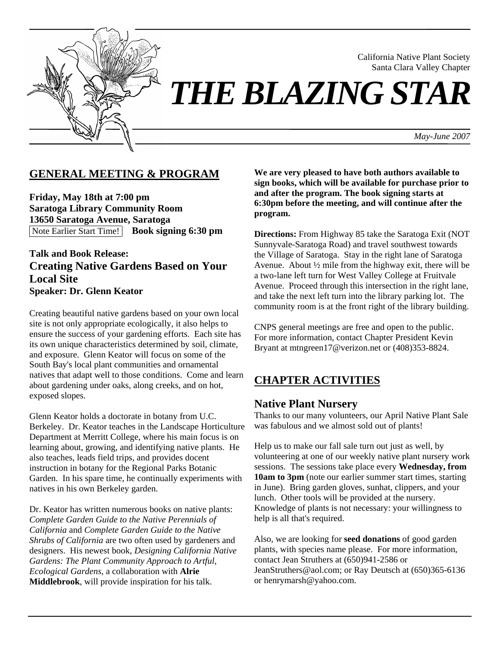

California Native Plant Society Santa Clara Valley Chapter

# *THE BLAZING STAR*

*May-June 2007*

# **GENERAL MEETING & PROGRAM**

**Friday, May 18th at 7:00 pm Saratoga Library Community Room 13650 Saratoga Avenue, Saratoga**  Note Earlier Start Time! **Book signing 6:30 pm**

## **Talk and Book Release: Creating Native Gardens Based on Your Local Site Speaker: Dr. Glenn Keator**

Creating beautiful native gardens based on your own local site is not only appropriate ecologically, it also helps to ensure the success of your gardening efforts. Each site has its own unique characteristics determined by soil, climate, and exposure. Glenn Keator will focus on some of the South Bay's local plant communities and ornamental natives that adapt well to those conditions. Come and learn about gardening under oaks, along creeks, and on hot, exposed slopes.

Glenn Keator holds a doctorate in botany from U.C. Berkeley. Dr. Keator teaches in the Landscape Horticulture Department at Merritt College, where his main focus is on learning about, growing, and identifying native plants. He also teaches, leads field trips, and provides docent instruction in botany for the Regional Parks Botanic Garden. In his spare time, he continually experiments with natives in his own Berkeley garden.

Dr. Keator has written numerous books on native plants: *Complete Garden Guide to the Native Perennials of California* and *Complete Garden Guide to the Native Shrubs of California* are two often used by gardeners and designers. His newest book, *Designing California Native Gardens: The Plant Community Approach to Artful, Ecological Gardens*, a collaboration with **Alrie Middlebrook**, will provide inspiration for his talk.

**We are very pleased to have both authors available to sign books, which will be available for purchase prior to and after the program. The book signing starts at 6:30pm before the meeting, and will continue after the program.** 

**Directions:** From Highway 85 take the Saratoga Exit (NOT Sunnyvale-Saratoga Road) and travel southwest towards the Village of Saratoga. Stay in the right lane of Saratoga Avenue. About ½ mile from the highway exit, there will be a two-lane left turn for West Valley College at Fruitvale Avenue. Proceed through this intersection in the right lane, and take the next left turn into the library parking lot. The community room is at the front right of the library building.

CNPS general meetings are free and open to the public. For more information, contact Chapter President Kevin Bryant at mtngreen17@verizon.net or (408)353-8824.

# **CHAPTER ACTIVITIES**

## **Native Plant Nursery**

Thanks to our many volunteers, our April Native Plant Sale was fabulous and we almost sold out of plants!

Help us to make our fall sale turn out just as well, by volunteering at one of our weekly native plant nursery work sessions. The sessions take place every **Wednesday, from 10am to 3pm** (note our earlier summer start times, starting in June). Bring garden gloves, sunhat, clippers, and your lunch. Other tools will be provided at the nursery. Knowledge of plants is not necessary: your willingness to help is all that's required.

Also, we are looking for **seed donations** of good garden plants, with species name please. For more information, contact Jean Struthers at (650)941-2586 or JeanStruthers@aol.com; or Ray Deutsch at (650)365-6136 or henrymarsh@yahoo.com.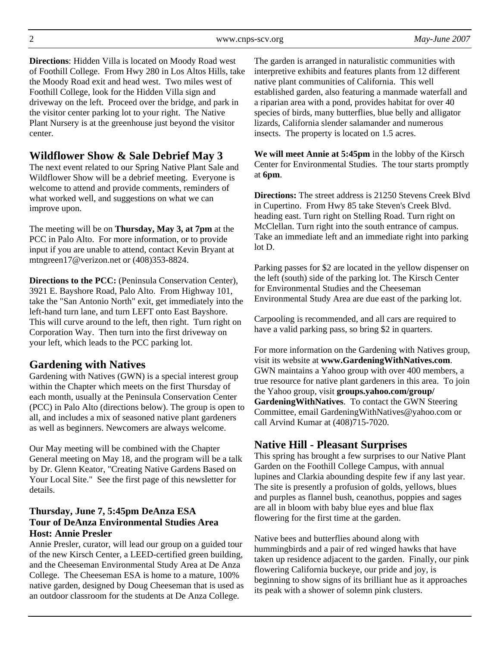2 www.cnps-scv.org *May-June 2007*

**Directions**: Hidden Villa is located on Moody Road west of Foothill College. From Hwy 280 in Los Altos Hills, take the Moody Road exit and head west. Two miles west of Foothill College, look for the Hidden Villa sign and driveway on the left. Proceed over the bridge, and park in the visitor center parking lot to your right. The Native Plant Nursery is at the greenhouse just beyond the visitor center.

# **Wildflower Show & Sale Debrief May 3**

The next event related to our Spring Native Plant Sale and Wildflower Show will be a debrief meeting. Everyone is welcome to attend and provide comments, reminders of what worked well, and suggestions on what we can improve upon.

The meeting will be on **Thursday, May 3, at 7pm** at the PCC in Palo Alto. For more information, or to provide input if you are unable to attend, contact Kevin Bryant at mtngreen17@verizon.net or (408)353-8824.

**Directions to the PCC:** (Peninsula Conservation Center), 3921 E. Bayshore Road, Palo Alto. From Highway 101, take the "San Antonio North" exit, get immediately into the left-hand turn lane, and turn LEFT onto East Bayshore. This will curve around to the left, then right. Turn right on Corporation Way. Then turn into the first driveway on your left, which leads to the PCC parking lot.

# **Gardening with Natives**

Gardening with Natives (GWN) is a special interest group within the Chapter which meets on the first Thursday of each month, usually at the Peninsula Conservation Center (PCC) in Palo Alto (directions below). The group is open to all, and includes a mix of seasoned native plant gardeners as well as beginners. Newcomers are always welcome.

Our May meeting will be combined with the Chapter General meeting on May 18, and the program will be a talk by Dr. Glenn Keator, "Creating Native Gardens Based on Your Local Site." See the first page of this newsletter for details.

#### **Thursday, June 7, 5:45pm DeAnza ESA Tour of DeAnza Environmental Studies Area Host: Annie Presler**

Annie Presler, curator, will lead our group on a guided tour of the new Kirsch Center, a LEED-certified green building, and the Cheeseman Environmental Study Area at De Anza College. The Cheeseman ESA is home to a mature, 100% native garden, designed by Doug Cheeseman that is used as an outdoor classroom for the students at De Anza College.

The garden is arranged in naturalistic communities with interpretive exhibits and features plants from 12 different native plant communities of California. This well established garden, also featuring a manmade waterfall and a riparian area with a pond, provides habitat for over 40 species of birds, many butterflies, blue belly and alligator lizards, California slender salamander and numerous insects. The property is located on 1.5 acres.

**We will meet Annie at 5:45pm** in the lobby of the Kirsch Center for Environmental Studies. The tour starts promptly at **6pm**.

**Directions:** The street address is 21250 Stevens Creek Blvd in Cupertino. From Hwy 85 take Steven's Creek Blvd. heading east. Turn right on Stelling Road. Turn right on McClellan. Turn right into the south entrance of campus. Take an immediate left and an immediate right into parking lot D.

Parking passes for \$2 are located in the yellow dispenser on the left (south) side of the parking lot. The Kirsch Center for Environmental Studies and the Cheeseman Environmental Study Area are due east of the parking lot.

Carpooling is recommended, and all cars are required to have a valid parking pass, so bring \$2 in quarters.

For more information on the Gardening with Natives group, visit its website at **www.GardeningWithNatives.com**. GWN maintains a Yahoo group with over 400 members, a true resource for native plant gardeners in this area. To join the Yahoo group, visit **groups.yahoo.com/group/ GardeningWithNatives**. To contact the GWN Steering Committee, email GardeningWithNatives@yahoo.com or call Arvind Kumar at (408)715-7020.

# **Native Hill - Pleasant Surprises**

This spring has brought a few surprises to our Native Plant Garden on the Foothill College Campus, with annual lupines and Clarkia abounding despite few if any last year. The site is presently a profusion of golds, yellows, blues and purples as flannel bush, ceanothus, poppies and sages are all in bloom with baby blue eyes and blue flax flowering for the first time at the garden.

Native bees and butterflies abound along with hummingbirds and a pair of red winged hawks that have taken up residence adjacent to the garden. Finally, our pink flowering California buckeye, our pride and joy, is beginning to show signs of its brilliant hue as it approaches its peak with a shower of solemn pink clusters.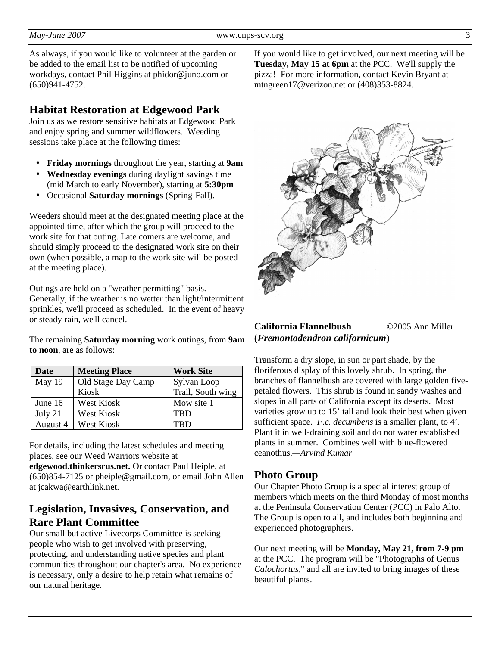As always, if you would like to volunteer at the garden or be added to the email list to be notified of upcoming workdays, contact Phil Higgins at phidor@juno.com or (650)941-4752.

## **Habitat Restoration at Edgewood Park**

Join us as we restore sensitive habitats at Edgewood Park and enjoy spring and summer wildflowers. Weeding sessions take place at the following times:

- **Friday mornings** throughout the year, starting at **9am**
- **Wednesday evenings** during daylight savings time (mid March to early November), starting at **5:30pm**
- Occasional **Saturday mornings** (Spring-Fall).

Weeders should meet at the designated meeting place at the appointed time, after which the group will proceed to the work site for that outing. Late comers are welcome, and should simply proceed to the designated work site on their own (when possible, a map to the work site will be posted at the meeting place).

Outings are held on a "weather permitting" basis. Generally, if the weather is no wetter than light/intermittent sprinkles, we'll proceed as scheduled. In the event of heavy or steady rain, we'll cancel.

The remaining **Saturday morning** work outings, from **9am to noon**, are as follows:

| Date     | <b>Meeting Place</b> | <b>Work Site</b>  |
|----------|----------------------|-------------------|
| May 19   | Old Stage Day Camp   | Sylvan Loop       |
|          | Kiosk                | Trail, South wing |
| June 16  | <b>West Kiosk</b>    | Mow site 1        |
| July 21  | West Kiosk           | <b>TBD</b>        |
| August 4 | West Kiosk           | TRD               |

For details, including the latest schedules and meeting places, see our Weed Warriors website at

**edgewood.thinkersrus.net.** Or contact Paul Heiple, at (650)854-7125 or pheiple@gmail.com, or email John Allen at jcakwa@earthlink.net.

# **Legislation, Invasives, Conservation, and Rare Plant Committee**

Our small but active Livecorps Committee is seeking people who wish to get involved with preserving, protecting, and understanding native species and plant communities throughout our chapter's area. No experience is necessary, only a desire to help retain what remains of our natural heritage.

If you would like to get involved, our next meeting will be **Tuesday, May 15 at 6pm** at the PCC. We'll supply the pizza! For more information, contact Kevin Bryant at mtngreen17@verizon.net or (408)353-8824.



#### **California Flannelbush** ©2005 Ann Miller **(***Fremontodendron californicum***)**

Transform a dry slope, in sun or part shade, by the floriferous display of this lovely shrub. In spring, the branches of flannelbush are covered with large golden fivepetaled flowers. This shrub is found in sandy washes and slopes in all parts of California except its deserts. Most varieties grow up to 15' tall and look their best when given sufficient space. *F.c. decumbens* is a smaller plant, to 4'. Plant it in well-draining soil and do not water established plants in summer. Combines well with blue-flowered ceanothus.*—Arvind Kumar*

## **Photo Group**

Our Chapter Photo Group is a special interest group of members which meets on the third Monday of most months at the Peninsula Conservation Center (PCC) in Palo Alto. The Group is open to all, and includes both beginning and experienced photographers.

Our next meeting will be **Monday, May 21, from 7-9 pm** at the PCC. The program will be "Photographs of Genus *Calochortus,*" and all are invited to bring images of these beautiful plants.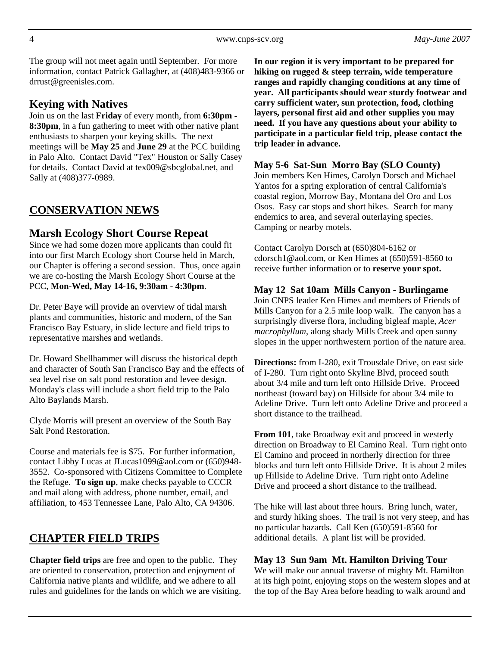The group will not meet again until September. For more information, contact Patrick Gallagher, at (408)483-9366 or drrust@greenisles.com.

# **Keying with Natives**

Join us on the last **Friday** of every month, from **6:30pm - 8:30pm**, in a fun gathering to meet with other native plant enthusiasts to sharpen your keying skills. The next meetings will be **May 25** and **June 29** at the PCC building in Palo Alto. Contact David "Tex" Houston or Sally Casey for details. Contact David at tex009@sbcglobal.net, and Sally at (408)377-0989.

# **CONSERVATION NEWS**

# **Marsh Ecology Short Course Repeat**

Since we had some dozen more applicants than could fit into our first March Ecology short Course held in March, our Chapter is offering a second session. Thus, once again we are co-hosting the Marsh Ecology Short Course at the PCC, **Mon-Wed, May 14-16, 9:30am - 4:30pm**.

Dr. Peter Baye will provide an overview of tidal marsh plants and communities, historic and modern, of the San Francisco Bay Estuary, in slide lecture and field trips to representative marshes and wetlands.

Dr. Howard Shellhammer will discuss the historical depth and character of South San Francisco Bay and the effects of sea level rise on salt pond restoration and levee design. Monday's class will include a short field trip to the Palo Alto Baylands Marsh.

Clyde Morris will present an overview of the South Bay Salt Pond Restoration.

Course and materials fee is \$75. For further information, contact Libby Lucas at JLucas1099@aol.com or (650)948- 3552. Co-sponsored with Citizens Committee to Complete the Refuge. **To sign up**, make checks payable to CCCR and mail along with address, phone number, email, and affiliation, to 453 Tennessee Lane, Palo Alto, CA 94306.

# **CHAPTER FIELD TRIPS**

**Chapter field trips** are free and open to the public. They are oriented to conservation, protection and enjoyment of California native plants and wildlife, and we adhere to all rules and guidelines for the lands on which we are visiting.

**In our region it is very important to be prepared for hiking on rugged & steep terrain, wide temperature ranges and rapidly changing conditions at any time of year. All participants should wear sturdy footwear and carry sufficient water, sun protection, food, clothing layers, personal first aid and other supplies you may need. If you have any questions about your ability to participate in a particular field trip, please contact the trip leader in advance.** 

#### **May 5-6 Sat-Sun Morro Bay (SLO County)**

Join members Ken Himes, Carolyn Dorsch and Michael Yantos for a spring exploration of central California's coastal region, Morrow Bay, Montana del Oro and Los Osos. Easy car stops and short hikes. Search for many endemics to area, and several outerlaying species. Camping or nearby motels.

Contact Carolyn Dorsch at (650)804-6162 or cdorsch1@aol.com, or Ken Himes at (650)591-8560 to receive further information or to **reserve your spot.**

#### **May 12 Sat 10am Mills Canyon - Burlingame**

Join CNPS leader Ken Himes and members of Friends of Mills Canyon for a 2.5 mile loop walk. The canyon has a surprisingly diverse flora, including bigleaf maple, *Acer macrophyllum*, along shady Mills Creek and open sunny slopes in the upper northwestern portion of the nature area.

**Directions:** from I-280, exit Trousdale Drive, on east side of I-280. Turn right onto Skyline Blvd, proceed south about 3/4 mile and turn left onto Hillside Drive. Proceed northeast (toward bay) on Hillside for about 3/4 mile to Adeline Drive. Turn left onto Adeline Drive and proceed a short distance to the trailhead.

**From 101**, take Broadway exit and proceed in westerly direction on Broadway to El Camino Real. Turn right onto El Camino and proceed in northerly direction for three blocks and turn left onto Hillside Drive. It is about 2 miles up Hillside to Adeline Drive. Turn right onto Adeline Drive and proceed a short distance to the trailhead.

The hike will last about three hours. Bring lunch, water, and sturdy hiking shoes. The trail is not very steep, and has no particular hazards. Call Ken (650)591-8560 for additional details. A plant list will be provided.

#### **May 13 Sun 9am Mt. Hamilton Driving Tour**

We will make our annual traverse of mighty Mt. Hamilton at its high point, enjoying stops on the western slopes and at the top of the Bay Area before heading to walk around and